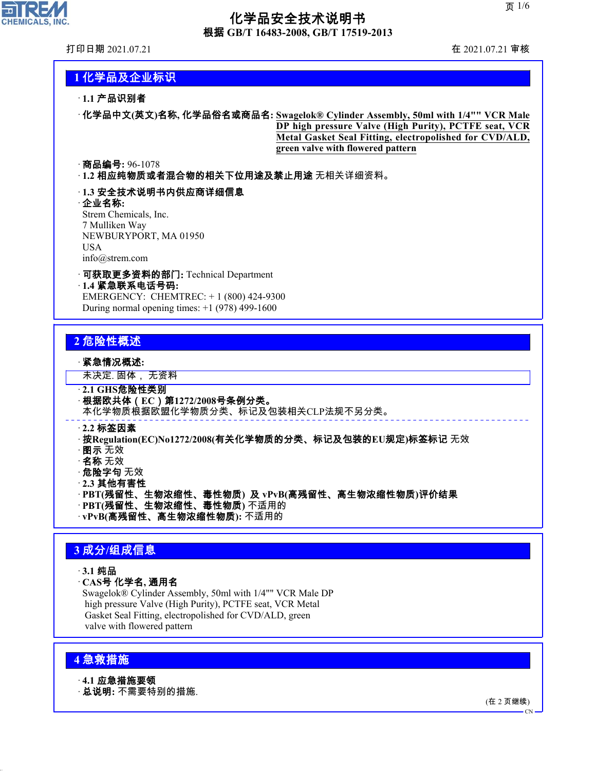

## 化学品安全技术说明书 根据 **GB/T 16483-2008, GB/T 17519-2013**

打印日期 2021.07.21 在 2021.07.21 审核

## **1** 化学品及企业标识

### · **1.1** 产品识别者

· 化学品中文**(**英文**)**名称**,** 化学品俗名或商品名**: Swagelok® Cylinder Assembly, 50ml with 1/4"" VCR Male DP high pressure Valve (High Purity), PCTFE seat, VCR Metal Gasket Seal Fitting, electropolished for CVD/ALD, green valve with flowered pattern**

### · 商品编号**:** 96-1078

· **1.2** 相应纯物质或者混合物的相关下位用途及禁止用途 无相关详细资料。

### · **1.3** 安全技术说明书内供应商详细信息

· 企业名称**:** Strem Chemicals, Inc. 7 Mulliken Way NEWBURYPORT, MA 01950 USA info@strem.com

· 可获取更多资料的部门**:** Technical Department · **1.4** 紧急联系电话号码**:** EMERGENCY: CHEMTREC: + 1 (800) 424-9300 During normal opening times:  $+1$  (978) 499-1600

## **2** 危险性概述

### · 紧急情况概述**:**

未决定. 固体, 无资料

- · **2.1 GHS**危险性类别
- · 根据欧共体(**EC**)第**1272/2008**号条例分类。

本化学物质根据欧盟化学物质分类、标记及包装相关CLP法规不另分类。

#### · **2.2** 标签因素

- · 按**Regulation(EC)No1272/2008(**有关化学物质的分类、标记及包装的**EU**规定**)**标签标记 无效
- · 图示 无效
- · 名称 无效
- · 危险字句 无效
- · **2.3** 其他有害性
- · **PBT(**残留性、生物浓缩性、毒性物质**)** 及 **vPvB(**高残留性、高生物浓缩性物质**)**评价结果
- · **PBT(**残留性、生物浓缩性、毒性物质**)** 不适用的
- · **vPvB(**高残留性、高生物浓缩性物质**):** 不适用的

## **3** 成分**/**组成信息

- · **3.1** 纯品
- · **CAS**号 化学名**,** 通用名

Swagelok® Cylinder Assembly, 50ml with 1/4"" VCR Male DP high pressure Valve (High Purity), PCTFE seat, VCR Metal Gasket Seal Fitting, electropolished for CVD/ALD, green valve with flowered pattern

## **4** 急救措施

44.1.1

· **4.1** 应急措施要领

· 总说明**:** 不需要特别的措施.

(在 2 页继续)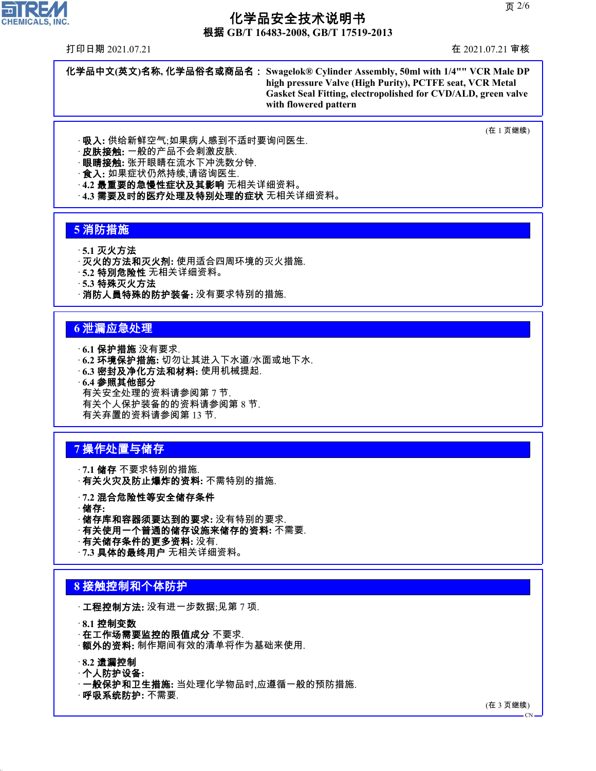根据 **GB/T 16483-2008, GB/T 17519-2013**

打印日期 2021.07.21 在 2021.07.21 审核

 $\overline{\mathbf{r}}$ 

**CHEMICALS, INC.** 

化学品中文**(**英文**)**名称**,** 化学品俗名或商品名: **Swagelok® Cylinder Assembly, 50ml with 1/4"" VCR Male DP high pressure Valve (High Purity), PCTFE seat, VCR Metal Gasket Seal Fitting, electropolished for CVD/ALD, green valve with flowered pattern**

(在 1 页继续)

· 吸入**:** 供给新鲜空气;如果病人感到不适时要询问医生.

**皮肤接触:** 一般的产品不会刺激皮肤.

· 眼睛接触**:** 张开眼睛在流水下冲洗数分钟.

· 食入**:** 如果症状仍然持续,请谘询医生.

· **4.2** 最重要的急慢性症状及其影响 无相关详细资料。

· **4.3** 需要及时的医疗处理及特别处理的症状 无相关详细资料。

### **5** 消防措施

· **5.1** 灭火方法

· 灭火的方法和灭火剂**:** 使用适合四周环境的灭火措施.

· **5.2** 特別危险性 无相关详细资料。

· **5.3** 特殊灭火方法

· 消防人員特殊的防护装备**:** 没有要求特别的措施.

### **6** 泄漏应急处理

· **6.1** 保护措施 没有要求.

· **6.2** 环境保护措施**:** 切勿让其进入下水道/水面或地下水.

· **6.3** 密封及净化方法和材料**:** 使用机械提起.

· **6.4** 参照其他部分

有关安全处理的资料请参阅第 7 节. 有关个人保护装备的的资料请参阅第 8 节. 有关弃置的资料请参阅第 13 节.

## **7** 操作处置与储存

· **7.1** 储存 不要求特别的措施. · 有关火灾及防止爆炸的资料**:** 不需特别的措施.

· **7.2** 混合危险性等安全储存条件

- · 储存**:**
- · 储存库和容器须要达到的要求**:** 没有特别的要求.
- · 有关使用一个普通的储存设施来储存的资料**:** 不需要.
- · 有关储存条件的更多资料**:** 没有.

· **7.3** 具体的最终用户 无相关详细资料。

### **8** 接触控制和个体防护

· 工程控制方法**:** 没有进一步数据;见第 7 项.

· **8.1** 控制变数

- · **在工作场需要监控的限值成分** 不要求.
- · 额外的资料**:** 制作期间有效的清单将作为基础来使用.

### · **8.2** 遗漏控制

44.1.1

- · 个人防护设备**:**
- · 一般保护和卫生措施**:** 当处理化学物品时,应遵循一般的预防措施.

· 呼吸系统防护**:** 不需要.

(在 3 页继续)

CN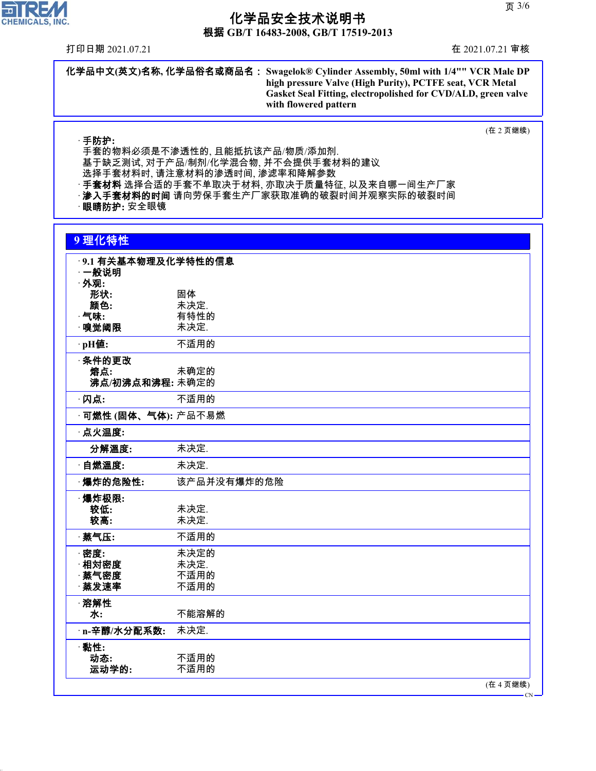根据 **GB/T 16483-2008, GB/T 17519-2013**

打印日期 2021.07.21 在 2021.07.21 审核

**FIREM** CHEMICALS, INC.

(在 2 页继续)

· 手防护**:** 手套的物料必须是不渗透性的, 且能抵抗该产品/物质/添加剂. 基于缺乏测试, 对于产品/制剂/化学混合物, 并不会提供手套材料的建议 选择手套材料时, 请注意材料的渗透时间, 渗滤率和降解参数 · 手套材料 选择合适的手套不单取决于材料, 亦取决于质量特征, 以及来自哪一间生产厂家 · **渗入手套材料的时间** 请向劳保手套生产厂家获取准确的破裂时间并观察实际的破裂时间 · 眼睛防护**:** 安全眼镜

|  | - 7 |     |  |
|--|-----|-----|--|
|  |     |     |  |
|  |     |     |  |
|  |     | . . |  |
|  |     |     |  |

44.1.1

| ·9.1 有关基本物理及化学特性的信息         |              |
|-----------------------------|--------------|
| ·一般说明                       |              |
| · 外观:                       |              |
| 形状:                         | 固体           |
| 颜色:                         | 未决定.         |
| $\cdot$ 气味:                 | 有特性的         |
| ·嗅觉阈限                       | 未决定.         |
| ·pH值:                       | 不适用的         |
| ·条件的更改                      |              |
| 熔点:                         | 未确定的         |
| 沸点/初沸点和沸程:未确定的              |              |
| ·闪点:                        | 不适用的         |
| · <b>可燃性 (固体、气体):</b> 产品不易燃 |              |
| · 点火温度:                     |              |
| 分解溫度:                       | 未决定.         |
| 自燃溫度:                       | 未决定.         |
| ·爆炸的危险性:                    | 该产品并没有爆炸的危险  |
| ·爆炸极限:                      |              |
| 较低:                         | 未决定.         |
| 较高:                         | 未决定.         |
| 蒸气压:                        | 不适用的         |
|                             |              |
| ·密度:<br>相対密度                | 未决定的<br>未决定. |
| · 蒸气密度                      | 不适用的         |
| 蒸发速率                        | 不适用的         |
|                             |              |
| ·溶解性                        |              |
| 水:                          | 不能溶解的        |
| · n-辛醇/水分配系数:               | 未决定.         |
| ·黏性:                        |              |
| 动态:                         | 不适用的         |
| 运动学的:                       | 不适用的         |

CN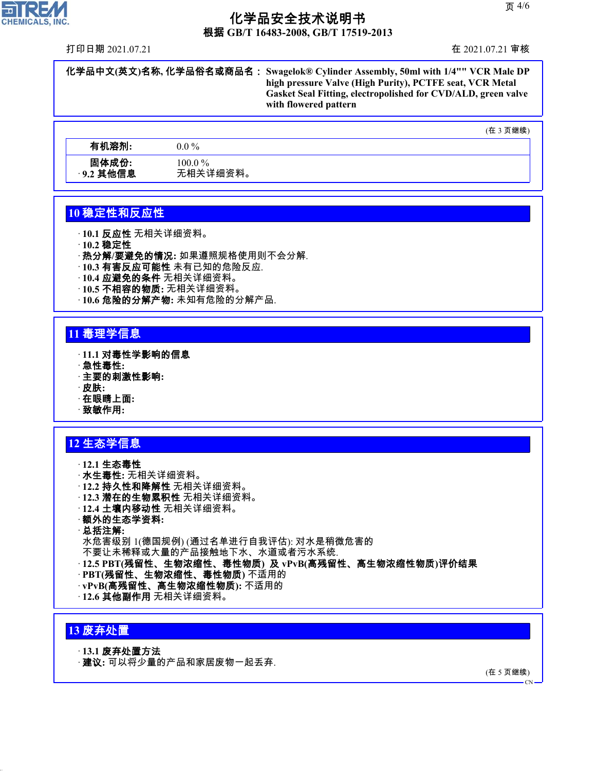根据 **GB/T 16483-2008, GB/T 17519-2013**

打印日期 2021.07.21 在 2021.07.21 审核

化学品中文**(**英文**)**名称**,** 化学品俗名或商品名: **Swagelok® Cylinder Assembly, 50ml with 1/4"" VCR Male DP high pressure Valve (High Purity), PCTFE seat, VCR Metal Gasket Seal Fitting, electropolished for CVD/ALD, green valve with flowered pattern**

(在 3 页继续)

| 有机溶剂:     | $0.0\,\%$ |
|-----------|-----------|
| 固体成份:     | $100.0\%$ |
| ·9.2 其他信息 | 无相关详细资料。  |

## **10** 稳定性和反应性

· **10.1** 反应性 无相关详细资料。

· **10.2** 稳定性

· 热分解**/**要避免的情况**:** 如果遵照规格使用则不会分解.

- · **10.3** 有害反应可能性 未有已知的危险反应.
- · **10.4** 应避免的条件 无相关详细资料。
- · **10.5** 不相容的物质**:** 无相关详细资料。
- · **10.6** 危险的分解产物**:** 未知有危险的分解产品.

## **11** 毒理学信息

- · **11.1** 对毒性学影响的信息
- · 急性毒性**:**
- · 主要的刺激性影响**:**
- · 皮肤**:**
- · 在眼睛上面**:**
- · 致敏作用**:**

## **12** 生态学信息

· **12.1** 生态毒性 · 水生毒性**:** 无相关详细资料。 · **12.2** 持久性和降解性 无相关详细资料。 · **12.3** 潜在的生物累积性 无相关详细资料。 · **12.4** 土壤内移动性 无相关详细资料。 · 额外的生态学资料**:** · 总括注解**:** 水危害级别 1(德国规例) (通过名单进行自我评估): 对水是稍微危害的 不要让未稀释或大量的产品接触地下水、水道或者污水系统. · **12.5 PBT(**残留性、生物浓缩性、毒性物质**)** 及 **vPvB(**高残留性、高生物浓缩性物质**)**评价结果 · **PBT(**残留性、生物浓缩性、毒性物质**)** 不适用的 · **vPvB(**高残留性、高生物浓缩性物质**):** 不适用的 · **12.6** 其他副作用 无相关详细资料。

## **13** 废弃处置

44.1.1

### · **13.1** 废弃处置方法

· 建议**:** 可以将少量的产品和家居废物一起丢弃.

(在 5 页继续)

 $\overline{C}N$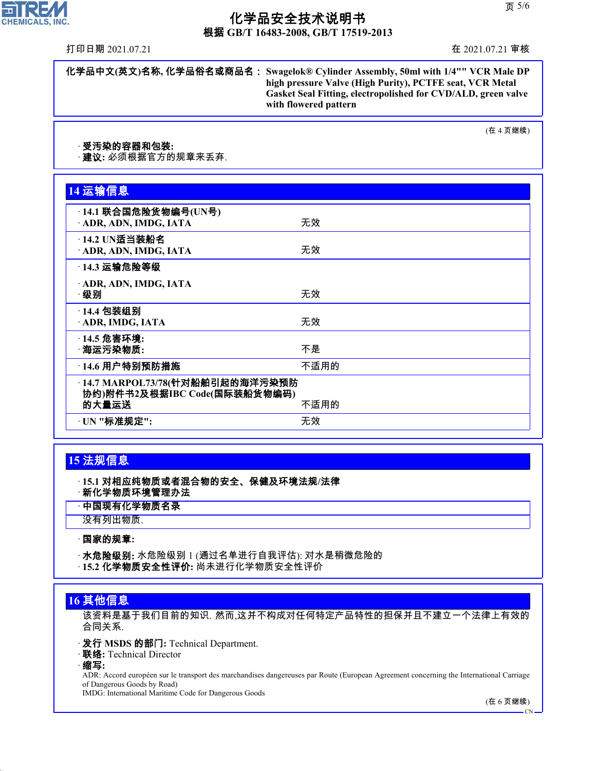根据 **GB/T 16483-2008, GB/T 17519-2013**

打印日期 2021.07.21 在 2021.07.21 审核

H

**CHEMICALS, INC.** 

化学品中文**(**英文**)**名称**,** 化学品俗名或商品名: **Swagelok® Cylinder Assembly, 50ml with 1/4"" VCR Male DP high pressure Valve (High Purity), PCTFE seat, VCR Metal Gasket Seal Fitting, electropolished for CVD/ALD, green valve with flowered pattern**

(在 4 页继续)

#### · 受汚染的容器和包装**:**

· 建议**:** 必须根据官方的规章来丢弃.

| 14 运输信息                                                                  |      |
|--------------------------------------------------------------------------|------|
| ·14.1 联合国危险货物编号(UN号)<br>ADR, ADN, IMDG, IATA                             | 无效   |
| $-14.2$ UN适当装船名<br>· ADR, ADN, IMDG, IATA                                | 无效   |
| <b>14.3 运输危险等级</b>                                                       |      |
| · ADR, ADN, IMDG, IATA<br>·级别                                            | 无效   |
| · 14.4 包装组别<br>ADR, IMDG, IATA                                           | 无效   |
| · 14.5 危害环境:<br>· 海运污染物质:                                                | 不是   |
| ·14.6 用户特别预防措施                                                           | 不适用的 |
| ·14.7 MARPOL73/78(针对船舶引起的海洋污染预防<br>协约)附件书2及根据IBC Code(国际装船货物编码)<br>的大量运送 | 不适用的 |
| · UN "标准规定":                                                             | 无效   |

## **15** 法规信息

· **15.1** 对相应纯物质或者混合物的安全、保健及环境法规**/**法律 · 新化学物质环境管理办法

· 中国现有化学物质名录

没有列出物质.

### · 国家的规章**:**

· 水危险级别**:** 水危险级别 1 (通过名单进行自我评估): 对水是稍微危险的 · **15.2** 化学物质安全性评价**:** 尚未进行化学物质安全性评价

### **16** 其他信息

该资料是基于我们目前的知识. 然而,这并不构成对任何特定产品特性的担保并且不建立一个法律上有效的 合同关系.

· 发行 **MSDS** 的部门**:** Technical Department.

· 联络**:** Technical Director

#### · 缩写**:**

44.1.1

ADR: Accord européen sur le transport des marchandises dangereuses par Route (European Agreement concerning the International Carriage of Dangerous Goods by Road)

IMDG: International Maritime Code for Dangerous Goods

(在 6 页继续)

CN